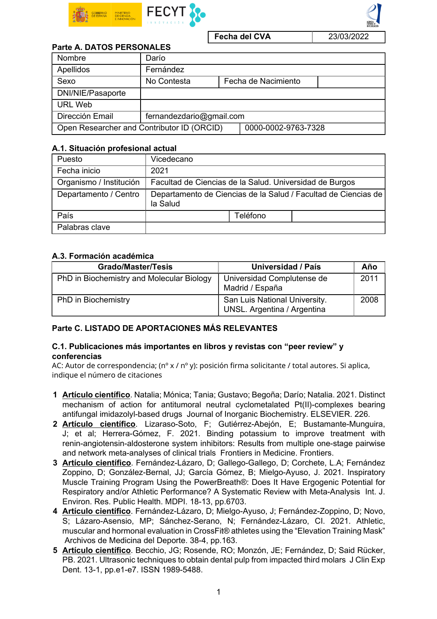

Fecha del CVA 23/03/2022

# Parte A. DATOS PERSONALES

| Nombre                                     | Darío                    |                     |                     |  |  |
|--------------------------------------------|--------------------------|---------------------|---------------------|--|--|
| Apellidos                                  | Fernández                |                     |                     |  |  |
| Sexo                                       | No Contesta              |                     | Fecha de Nacimiento |  |  |
| DNI/NIE/Pasaporte                          |                          |                     |                     |  |  |
| <b>URL Web</b>                             |                          |                     |                     |  |  |
| Dirección Email                            | fernandezdario@gmail.com |                     |                     |  |  |
| Open Researcher and Contributor ID (ORCID) |                          | 0000-0002-9763-7328 |                     |  |  |

#### A.1. Situación profesional actual

| Puesto                  | Vicedecano                                                                 |  |  |  |  |
|-------------------------|----------------------------------------------------------------------------|--|--|--|--|
| Fecha inicio            | 2021                                                                       |  |  |  |  |
| Organismo / Institución | Facultad de Ciencias de la Salud. Universidad de Burgos                    |  |  |  |  |
| Departamento / Centro   | Departamento de Ciencias de la Salud / Facultad de Ciencias de<br>la Salud |  |  |  |  |
| País                    | Teléfono                                                                   |  |  |  |  |
| Palabras clave          |                                                                            |  |  |  |  |

### A.3. Formación académica

| <b>Grado/Master/Tesis</b>                 | Universidad / País                                           | Año  |
|-------------------------------------------|--------------------------------------------------------------|------|
| PhD in Biochemistry and Molecular Biology | Universidad Complutense de<br>Madrid / España                | 2011 |
| PhD in Biochemistry                       | San Luis National University.<br>UNSL. Argentina / Argentina | 2008 |

### Parte C. LISTADO DE APORTACIONES MÁS RELEVANTES

### C.1. Publicaciones más importantes en libros y revistas con "peer review" y conferencias

AC: Autor de correspondencia; (nº x / nº y): posición firma solicitante / total autores. Si aplica, indique el número de citaciones

- 1 Artículo científico. Natalia; Mónica; Tania; Gustavo; Begoña; Darío; Natalia. 2021. Distinct mechanism of action for antitumoral neutral cyclometalated Pt(II)-complexes bearing antifungal imidazolyl-based drugs Journal of Inorganic Biochemistry. ELSEVIER. 226.
- 2 Artículo científico. Lizaraso-Soto, F; Gutiérrez-Abejón, E; Bustamante-Munguira, J; et al; Herrera-Gómez, F. 2021. Binding potassium to improve treatment with renin-angiotensin-aldosterone system inhibitors: Results from multiple one-stage pairwise and network meta-analyses of clinical trials Frontiers in Medicine. Frontiers.
- 3 Artículo científico. Fernández-Lázaro, D; Gallego-Gallego, D; Corchete, L.A; Fernández Zoppino, D; González-Bernal, JJ; García Gómez, B; Mielgo-Ayuso, J. 2021. Inspiratory Muscle Training Program Using the PowerBreath®: Does It Have Ergogenic Potential for Respiratory and/or Athletic Performance? A Systematic Review with Meta-Analysis Int. J. Environ. Res. Public Health. MDPI. 18-13, pp.6703.
- 4 Artículo científico. Fernández-Lázaro, D; Mielgo-Ayuso, J; Fernández-Zoppino, D; Novo, S; Lázaro-Asensio, MP; Sánchez-Serano, N; Fernández-Lázaro, CI. 2021. Athletic, muscular and hormonal evaluation in CrossFit® athletes using the "Elevation Training Mask" Archivos de Medicina del Deporte. 38-4, pp.163.
- 5 Artículo científico. Becchio, JG; Rosende, RO; Monzón, JE; Fernández, D; Said Rücker, PB. 2021. Ultrasonic techniques to obtain dental pulp from impacted third molars J Clin Exp Dent. 13-1, pp.e1-e7. ISSN 1989-5488.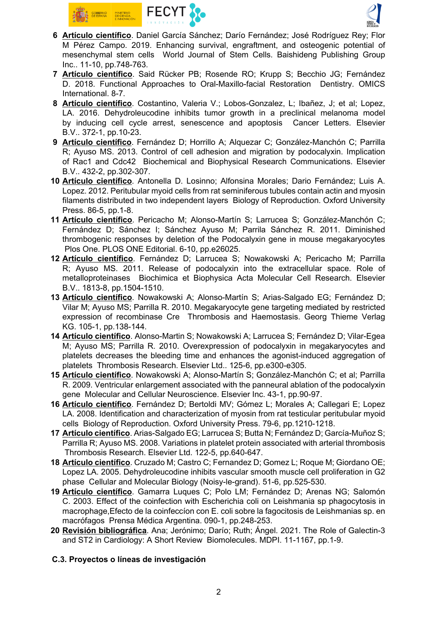



- 6 Artículo científico. Daniel García Sánchez; Darío Fernández; José Rodríguez Rey; Flor M Pérez Campo. 2019. Enhancing survival, engraftment, and osteogenic potential of mesenchymal stem cells World Journal of Stem Cells. Baishideng Publishing Group Inc.. 11-10, pp.748-763.
- 7 Artículo científico. Said Rücker PB; Rosende RO; Krupp S; Becchio JG; Fernández D. 2018. Functional Approaches to Oral-Maxillo-facial Restoration Dentistry. OMICS International. 8-7.
- 8 Artículo científico. Costantino, Valeria V.; Lobos-Gonzalez, L; Ibañez, J; et al; Lopez, LA. 2016. Dehydroleucodine inhibits tumor growth in a preclinical melanoma model by inducing cell cycle arrest, senescence and apoptosis Cancer Letters. Elsevier B.V.. 372-1, pp.10-23.
- 9 Artículo científico. Fernández D; Horrillo A; Alquezar C; González-Manchón C; Parrilla R; Ayuso MS. 2013. Control of cell adhesion and migration by podocalyxin. Implication of Rac1 and Cdc42 Biochemical and Biophysical Research Communications. Elsevier B.V.. 432-2, pp.302-307.
- 10 Artículo científico. Antonella D. Losinno; Alfonsina Morales; Dario Fernández; Luis A. Lopez. 2012. Peritubular myoid cells from rat seminiferous tubules contain actin and myosin filaments distributed in two independent layers Biology of Reproduction. Oxford University Press. 86-5, pp.1-8.
- 11 Artículo científico. Pericacho M; Alonso-Martín S; Larrucea S; González-Manchón C; Fernández D; Sánchez I; Sánchez Ayuso M; Parrila Sánchez R. 2011. Diminished thrombogenic responses by deletion of the Podocalyxin gene in mouse megakaryocytes Plos One. PLOS ONE Editorial. 6-10, pp.e26025.
- 12 Artículo científico. Fernández D; Larrucea S; Nowakowski A; Pericacho M; Parrilla R; Ayuso MS. 2011. Release of podocalyxin into the extracellular space. Role of metalloproteinases Biochimica et Biophysica Acta Molecular Cell Research. Elsevier B.V.. 1813-8, pp.1504-1510.
- 13 Artículo científico. Nowakowski A; Alonso-Martín S; Arias-Salgado EG; Fernández D; Vilar M; Ayuso MS; Parrilla R. 2010. Megakaryocyte gene targeting mediated by restricted expression of recombinase Cre Thrombosis and Haemostasis. Georg Thieme Verlag KG. 105-1, pp.138-144.
- 14 Artículo científico. Alonso-Martin S; Nowakowski A; Larrucea S; Fernández D; Vilar-Egea M; Ayuso MS; Parrilla R. 2010. Overexpression of podocalyxin in megakaryocytes and platelets decreases the bleeding time and enhances the agonist-induced aggregation of platelets Thrombosis Research. Elsevier Ltd.. 125-6, pp.e300-e305.
- 15 Artículo científico. Nowakowski A; Alonso-Martín S; González-Manchón C; et al; Parrilla R. 2009. Ventricular enlargement associated with the panneural ablation of the podocalyxin gene Molecular and Cellular Neuroscience. Elsevier Inc. 43-1, pp.90-97.
- 16 Artículo científico. Fernández D; Bertoldi MV; Gómez L; Morales A; Callegari E; Lopez LA. 2008. Identification and characterization of myosin from rat testicular peritubular myoid cells Biology of Reproduction. Oxford University Press. 79-6, pp.1210-1218.
- 17 Artículo científico. Arias-Salgado EG; Larrucea S; Butta N; Fernández D; García-Muñoz S; Parrilla R; Ayuso MS. 2008. Variations in platelet protein associated with arterial thrombosis Thrombosis Research. Elsevier Ltd. 122-5, pp.640-647.
- 18 Artículo científico. Cruzado M; Castro C; Fernandez D; Gomez L; Roque M; Giordano OE; Lopez LA. 2005. Dehydroleucodine inhibits vascular smooth muscle cell proliferation in G2 phase Cellular and Molecular Biology (Noisy-le-grand). 51-6, pp.525-530.
- 19 Artículo científico. Gamarra Luques C; Polo LM; Fernández D; Arenas NG; Salomón C. 2003. Effect of the coinfection with Escherichia coli on Leishmania sp phagocytosis in macrophage,Efecto de la coinfeccíon con E. coli sobre la fagocitosis de Leishmanias sp. en macrófagos Prensa Médica Argentina. 090-1, pp.248-253.
- 20 Revisión bibliográfica. Ana; Jerónimo; Darío; Ruth; Ángel. 2021. The Role of Galectin-3 and ST2 in Cardiology: A Short Review Biomolecules. MDPI. 11-1167, pp.1-9.

# C.3. Proyectos o líneas de investigación